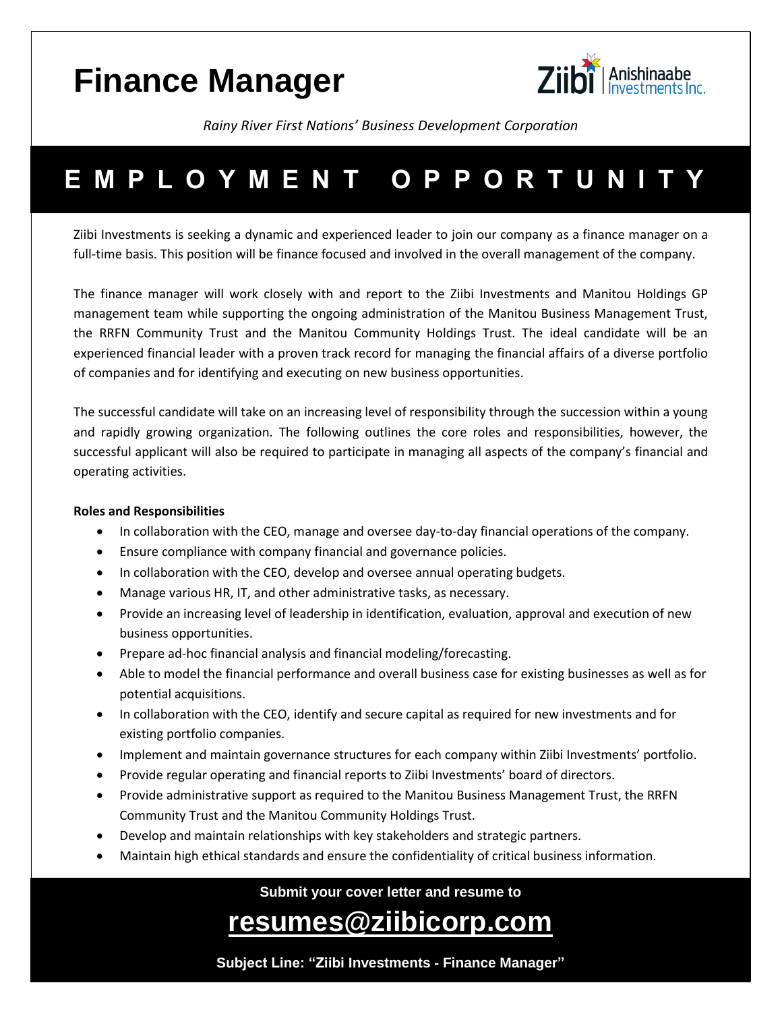# **Finance Manager**



*Rainy River First Nations' Business Development Corporation* 

## **E M P L O Y M E N T O P P O R T U N I T Y**

Ziibi Investments is seeking a dynamic and experienced leader to join our company as a finance manager on a full-time basis. This position will be finance focused and involved in the overall management of the company.

The finance manager will work closely with and report to the Ziibi Investments and Manitou Holdings GP management team while supporting the ongoing administration of the Manitou Business Management Trust, the RRFN Community Trust and the Manitou Community Holdings Trust. The ideal candidate will be an experienced financial leader with a proven track record for managing the financial affairs of a diverse portfolio of companies and for identifying and executing on new business opportunities.

The successful candidate will take on an increasing level of responsibility through the succession within a young and rapidly growing organization. The following outlines the core roles and responsibilities, however, the successful applicant will also be required to participate in managing all aspects of the company's financial and operating activities.

### **Roles and Responsibilities**

- In collaboration with the CEO, manage and oversee day-to-day financial operations of the company.
- Ensure compliance with company financial and governance policies.
- In collaboration with the CEO, develop and oversee annual operating budgets.
- Manage various HR, IT, and other administrative tasks, as necessary.
- Provide an increasing level of leadership in identification, evaluation, approval and execution of new business opportunities.
- Prepare ad-hoc financial analysis and financial modeling/forecasting.
- Able to model the financial performance and overall business case for existing businesses as well as for potential acquisitions.
- In collaboration with the CEO, identify and secure capital as required for new investments and for existing portfolio companies.
- Implement and maintain governance structures for each company within Ziibi Investments' portfolio.
- Provide regular operating and financial reports to Ziibi Investments' board of directors.
- Provide administrative support as required to the Manitou Business Management Trust, the RRFN Community Trust and the Manitou Community Holdings Trust.
- Develop and maintain relationships with key stakeholders and strategic partners.
- Maintain high ethical standards and ensure the confidentiality of critical business information.

**Submit your cover letter and resume to** 

### **resumes@ziibicorp.com**

**Subject Line: "Ziibi Investments - Finance Manager"**